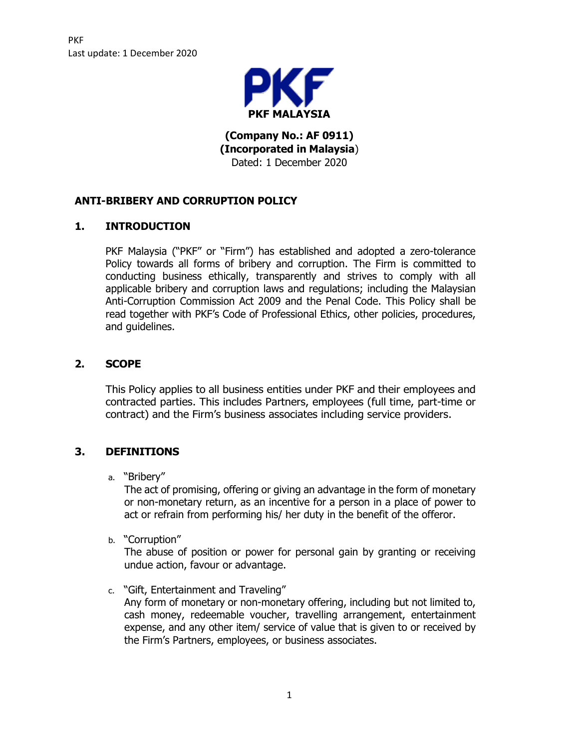

**(Company No.: AF 0911) (Incorporated in Malaysia**) Dated: 1 December 2020

# **ANTI-BRIBERY AND CORRUPTION POLICY**

# **1. INTRODUCTION**

PKF Malaysia ("PKF" or "Firm") has established and adopted a zero-tolerance Policy towards all forms of bribery and corruption. The Firm is committed to conducting business ethically, transparently and strives to comply with all applicable bribery and corruption laws and regulations; including the Malaysian Anti-Corruption Commission Act 2009 and the Penal Code. This Policy shall be read together with PKF's Code of Professional Ethics, other policies, procedures, and guidelines.

# **2. SCOPE**

This Policy applies to all business entities under PKF and their employees and contracted parties. This includes Partners, employees (full time, part-time or contract) and the Firm's business associates including service providers.

## **3. DEFINITIONS**

a. "Bribery"

The act of promising, offering or giving an advantage in the form of monetary or non-monetary return, as an incentive for a person in a place of power to act or refrain from performing his/ her duty in the benefit of the offeror.

b. "Corruption"

The abuse of position or power for personal gain by granting or receiving undue action, favour or advantage.

c. "Gift, Entertainment and Traveling"

Any form of monetary or non-monetary offering, including but not limited to, cash money, redeemable voucher, travelling arrangement, entertainment expense, and any other item/ service of value that is given to or received by the Firm's Partners, employees, or business associates.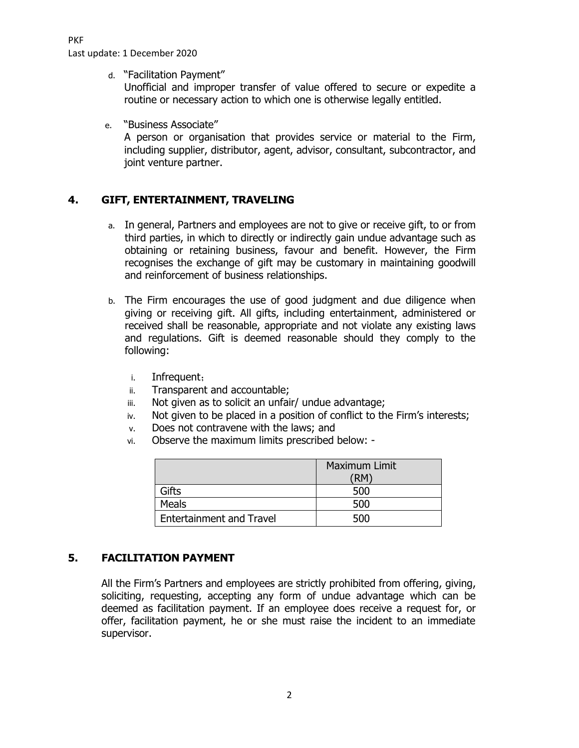PKF

Last update: 1 December 2020

d. "Facilitation Payment"

Unofficial and improper transfer of value offered to secure or expedite a routine or necessary action to which one is otherwise legally entitled.

e. "Business Associate"

A person or organisation that provides service or material to the Firm, including supplier, distributor, agent, advisor, consultant, subcontractor, and joint venture partner.

## **4. GIFT, ENTERTAINMENT, TRAVELING**

- a. In general, Partners and employees are not to give or receive gift, to or from third parties, in which to directly or indirectly gain undue advantage such as obtaining or retaining business, favour and benefit. However, the Firm recognises the exchange of gift may be customary in maintaining goodwill and reinforcement of business relationships.
- b. The Firm encourages the use of good judgment and due diligence when giving or receiving gift. All gifts, including entertainment, administered or received shall be reasonable, appropriate and not violate any existing laws and regulations. Gift is deemed reasonable should they comply to the following:
	- i. Infrequent;
	- ii. Transparent and accountable;
	- iii. Not given as to solicit an unfair/ undue advantage;
	- iv. Not given to be placed in a position of conflict to the Firm's interests;
	- v. Does not contravene with the laws; and
	- vi. Observe the maximum limits prescribed below: -

|                                 | Maximum Limit<br>΄RΜ |
|---------------------------------|----------------------|
| Gifts                           | 500                  |
| Meals                           | 500                  |
| <b>Entertainment and Travel</b> | 500                  |

## **5. FACILITATION PAYMENT**

All the Firm's Partners and employees are strictly prohibited from offering, giving, soliciting, requesting, accepting any form of undue advantage which can be deemed as facilitation payment. If an employee does receive a request for, or offer, facilitation payment, he or she must raise the incident to an immediate supervisor.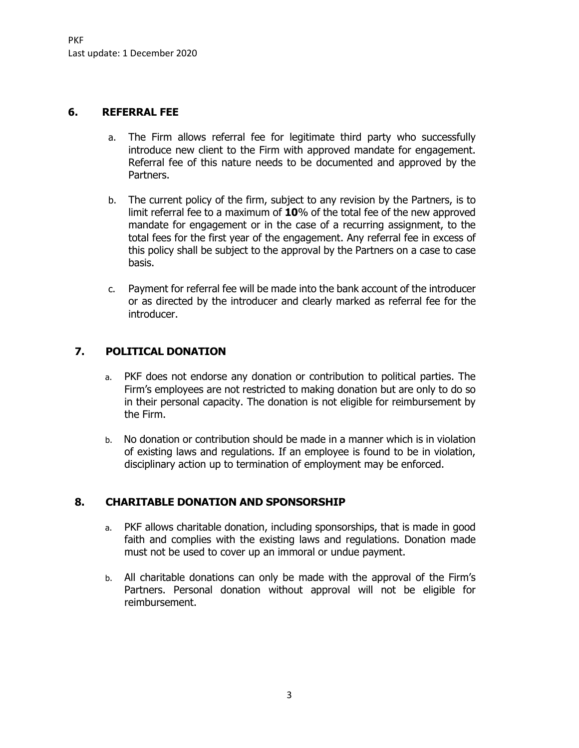#### **6. REFERRAL FEE**

- a. The Firm allows referral fee for legitimate third party who successfully introduce new client to the Firm with approved mandate for engagement. Referral fee of this nature needs to be documented and approved by the Partners.
- b. The current policy of the firm, subject to any revision by the Partners, is to limit referral fee to a maximum of **10**% of the total fee of the new approved mandate for engagement or in the case of a recurring assignment, to the total fees for the first year of the engagement. Any referral fee in excess of this policy shall be subject to the approval by the Partners on a case to case basis.
- c. Payment for referral fee will be made into the bank account of the introducer or as directed by the introducer and clearly marked as referral fee for the introducer.

## **7. POLITICAL DONATION**

- a. PKF does not endorse any donation or contribution to political parties. The Firm's employees are not restricted to making donation but are only to do so in their personal capacity. The donation is not eligible for reimbursement by the Firm.
- b. No donation or contribution should be made in a manner which is in violation of existing laws and regulations. If an employee is found to be in violation, disciplinary action up to termination of employment may be enforced.

## **8. CHARITABLE DONATION AND SPONSORSHIP**

- a. PKF allows charitable donation, including sponsorships, that is made in good faith and complies with the existing laws and regulations. Donation made must not be used to cover up an immoral or undue payment.
- b. All charitable donations can only be made with the approval of the Firm's Partners. Personal donation without approval will not be eligible for reimbursement.